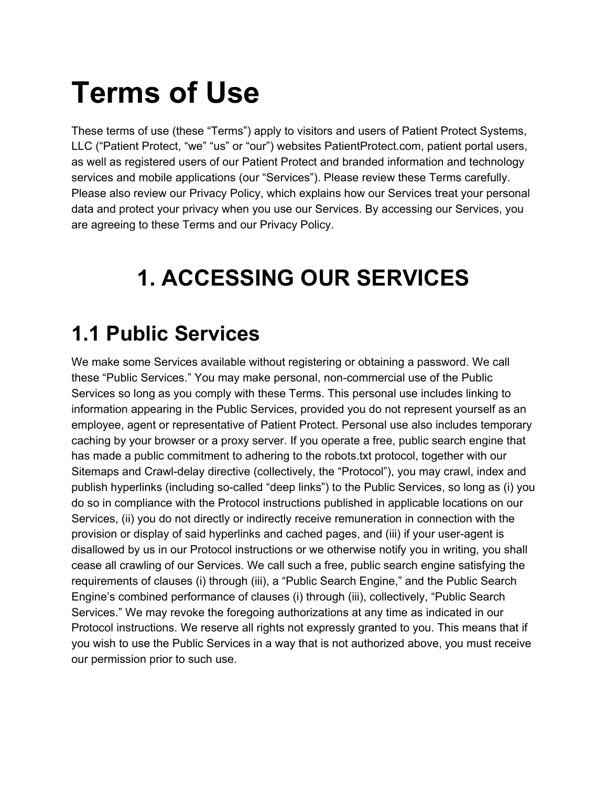# **Terms of Use**

These terms of use (these "Terms") apply to visitors and users of Patient Protect Systems, LLC ("Patient Protect, "we" "us" or "our") websites PatientProtect.com, patient portal users, as well as registered users of our Patient Protect and branded information and technology services and mobile applications (our "Services"). Please review these Terms carefully. Please also review our Privacy Policy, which explains how our Services treat your personal data and protect your privacy when you use our Services. By accessing our Services, you are agreeing to these Terms and our Privacy Policy.

## **1. ACCESSING OUR SERVICES**

#### **1.1 Public Services**

We make some Services available without registering or obtaining a password. We call these "Public Services." You may make personal, non-commercial use of the Public Services so long as you comply with these Terms. This personal use includes linking to information appearing in the Public Services, provided you do not represent yourself as an employee, agent or representative of Patient Protect. Personal use also includes temporary caching by your browser or a proxy server. If you operate a free, public search engine that has made a public commitment to adhering to the robots.txt protocol, together with our Sitemaps and Crawl-delay directive (collectively, the "Protocol"), you may crawl, index and publish hyperlinks (including so-called "deep links") to the Public Services, so long as (i) you do so in compliance with the Protocol instructions published in applicable locations on our Services, (ii) you do not directly or indirectly receive remuneration in connection with the provision or display of said hyperlinks and cached pages, and (iii) if your user-agent is disallowed by us in our Protocol instructions or we otherwise notify you in writing, you shall cease all crawling of our Services. We call such a free, public search engine satisfying the requirements of clauses (i) through (iii), a "Public Search Engine," and the Public Search Engine's combined performance of clauses (i) through (iii), collectively, "Public Search Services." We may revoke the foregoing authorizations at any time as indicated in our Protocol instructions. We reserve all rights not expressly granted to you. This means that if you wish to use the Public Services in a way that is not authorized above, you must receive our permission prior to such use.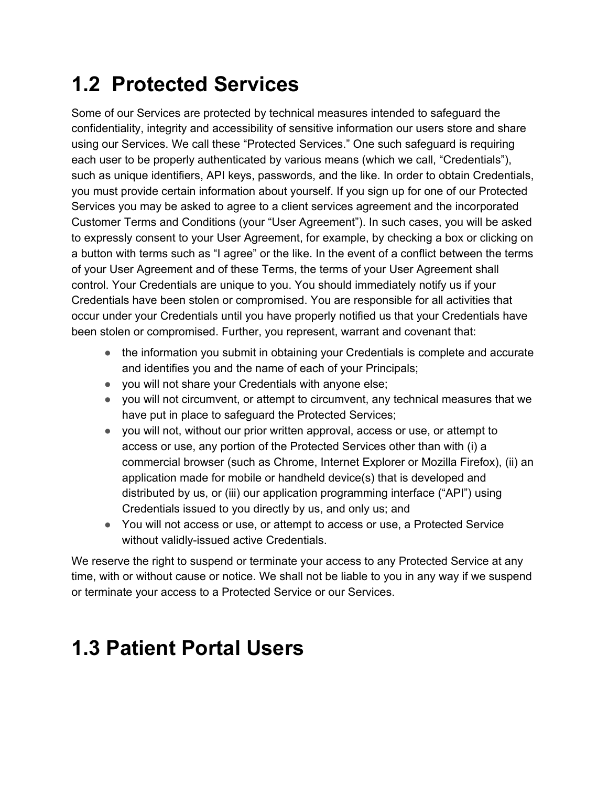#### **1.2 Protected Services**

Some of our Services are protected by technical measures intended to safeguard the confidentiality, integrity and accessibility of sensitive information our users store and share using our Services. We call these "Protected Services." One such safeguard is requiring each user to be properly authenticated by various means (which we call, "Credentials"), such as unique identifiers, API keys, passwords, and the like. In order to obtain Credentials, you must provide certain information about yourself. If you sign up for one of our Protected Services you may be asked to agree to a client services agreement and the incorporated Customer Terms and Conditions (your "User Agreement"). In such cases, you will be asked to expressly consent to your User Agreement, for example, by checking a box or clicking on a button with terms such as "I agree" or the like. In the event of a conflict between the terms of your User Agreement and of these Terms, the terms of your User Agreement shall control. Your Credentials are unique to you. You should immediately notify us if your Credentials have been stolen or compromised. You are responsible for all activities that occur under your Credentials until you have properly notified us that your Credentials have been stolen or compromised. Further, you represent, warrant and covenant that:

- the information you submit in obtaining your Credentials is complete and accurate and identifies you and the name of each of your Principals;
- you will not share your Credentials with anyone else;
- you will not circumvent, or attempt to circumvent, any technical measures that we have put in place to safeguard the Protected Services;
- you will not, without our prior written approval, access or use, or attempt to access or use, any portion of the Protected Services other than with (i) a commercial browser (such as Chrome, Internet Explorer or Mozilla Firefox), (ii) an application made for mobile or handheld device(s) that is developed and distributed by us, or (iii) our application programming interface ("API") using Credentials issued to you directly by us, and only us; and
- You will not access or use, or attempt to access or use, a Protected Service without validly-issued active Credentials.

We reserve the right to suspend or terminate your access to any Protected Service at any time, with or without cause or notice. We shall not be liable to you in any way if we suspend or terminate your access to a Protected Service or our Services.

#### **1.3 Patient Portal Users**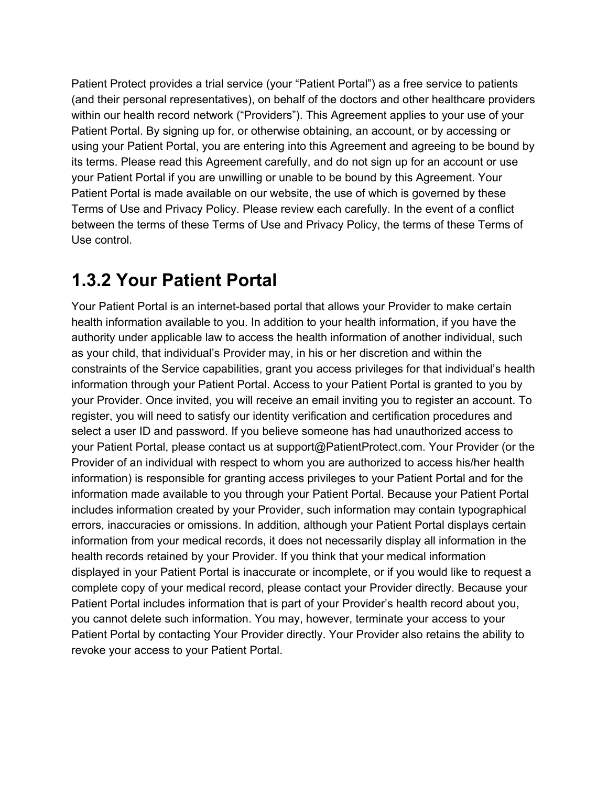Patient Protect provides a trial service (your "Patient Portal") as a free service to patients (and their personal representatives), on behalf of the doctors and other healthcare providers within our health record network ("Providers"). This Agreement applies to your use of your Patient Portal. By signing up for, or otherwise obtaining, an account, or by accessing or using your Patient Portal, you are entering into this Agreement and agreeing to be bound by its terms. Please read this Agreement carefully, and do not sign up for an account or use your Patient Portal if you are unwilling or unable to be bound by this Agreement. Your Patient Portal is made available on our website, the use of which is governed by these Terms of Use and Privacy Policy. Please review each carefully. In the event of a conflict between the terms of these Terms of Use and Privacy Policy, the terms of these Terms of Use control.

#### **1.3.2 Your Patient Portal**

Your Patient Portal is an internet-based portal that allows your Provider to make certain health information available to you. In addition to your health information, if you have the authority under applicable law to access the health information of another individual, such as your child, that individual's Provider may, in his or her discretion and within the constraints of the Service capabilities, grant you access privileges for that individual's health information through your Patient Portal. Access to your Patient Portal is granted to you by your Provider. Once invited, you will receive an email inviting you to register an account. To register, you will need to satisfy our identity verification and certification procedures and select a user ID and password. If you believe someone has had unauthorized access to your Patient Portal, please contact us at support@PatientProtect.com. Your Provider (or the Provider of an individual with respect to whom you are authorized to access his/her health information) is responsible for granting access privileges to your Patient Portal and for the information made available to you through your Patient Portal. Because your Patient Portal includes information created by your Provider, such information may contain typographical errors, inaccuracies or omissions. In addition, although your Patient Portal displays certain information from your medical records, it does not necessarily display all information in the health records retained by your Provider. If you think that your medical information displayed in your Patient Portal is inaccurate or incomplete, or if you would like to request a complete copy of your medical record, please contact your Provider directly. Because your Patient Portal includes information that is part of your Provider's health record about you, you cannot delete such information. You may, however, terminate your access to your Patient Portal by contacting Your Provider directly. Your Provider also retains the ability to revoke your access to your Patient Portal.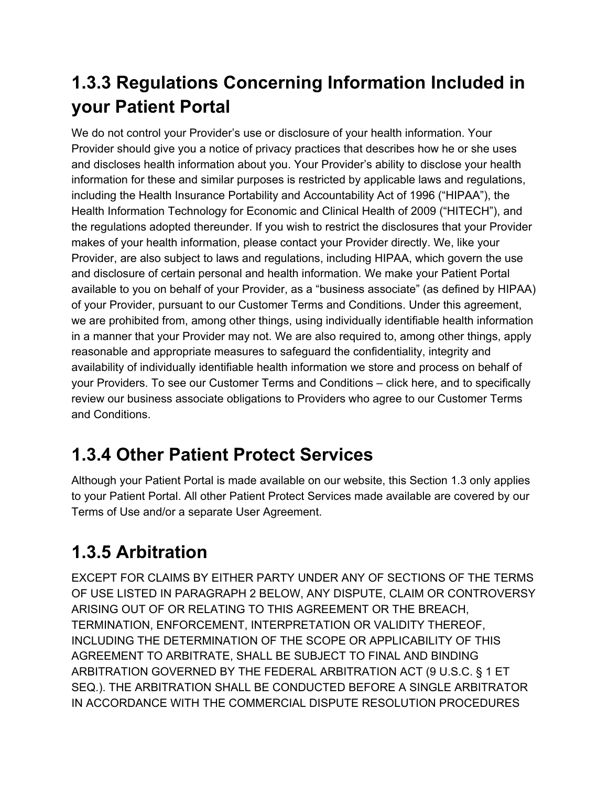#### **1.3.3 Regulations Concerning Information Included in your Patient Portal**

We do not control your Provider's use or disclosure of your health information. Your Provider should give you a notice of privacy practices that describes how he or she uses and discloses health information about you. Your Provider's ability to disclose your health information for these and similar purposes is restricted by applicable laws and regulations, including the Health Insurance Portability and Accountability Act of 1996 ("HIPAA"), the Health Information Technology for Economic and Clinical Health of 2009 ("HITECH"), and the regulations adopted thereunder. If you wish to restrict the disclosures that your Provider makes of your health information, please contact your Provider directly. We, like your Provider, are also subject to laws and regulations, including HIPAA, which govern the use and disclosure of certain personal and health information. We make your Patient Portal available to you on behalf of your Provider, as a "business associate" (as defined by HIPAA) of your Provider, pursuant to our Customer Terms and Conditions. Under this agreement, we are prohibited from, among other things, using individually identifiable health information in a manner that your Provider may not. We are also required to, among other things, apply reasonable and appropriate measures to safeguard the confidentiality, integrity and availability of individually identifiable health information we store and process on behalf of your Providers. To see our Customer Terms and Conditions – click here, and to specifically review our business associate obligations to Providers who agree to our Customer Terms and Conditions.

#### **1.3.4 Other Patient Protect Services**

Although your Patient Portal is made available on our website, this Section 1.3 only applies to your Patient Portal. All other Patient Protect Services made available are covered by our Terms of Use and/or a separate User Agreement.

#### **1.3.5 Arbitration**

EXCEPT FOR CLAIMS BY EITHER PARTY UNDER ANY OF SECTIONS OF THE TERMS OF USE LISTED IN PARAGRAPH 2 BELOW, ANY DISPUTE, CLAIM OR CONTROVERSY ARISING OUT OF OR RELATING TO THIS AGREEMENT OR THE BREACH, TERMINATION, ENFORCEMENT, INTERPRETATION OR VALIDITY THEREOF, INCLUDING THE DETERMINATION OF THE SCOPE OR APPLICABILITY OF THIS AGREEMENT TO ARBITRATE, SHALL BE SUBJECT TO FINAL AND BINDING ARBITRATION GOVERNED BY THE FEDERAL ARBITRATION ACT (9 U.S.C. § 1 ET SEQ.). THE ARBITRATION SHALL BE CONDUCTED BEFORE A SINGLE ARBITRATOR IN ACCORDANCE WITH THE COMMERCIAL DISPUTE RESOLUTION PROCEDURES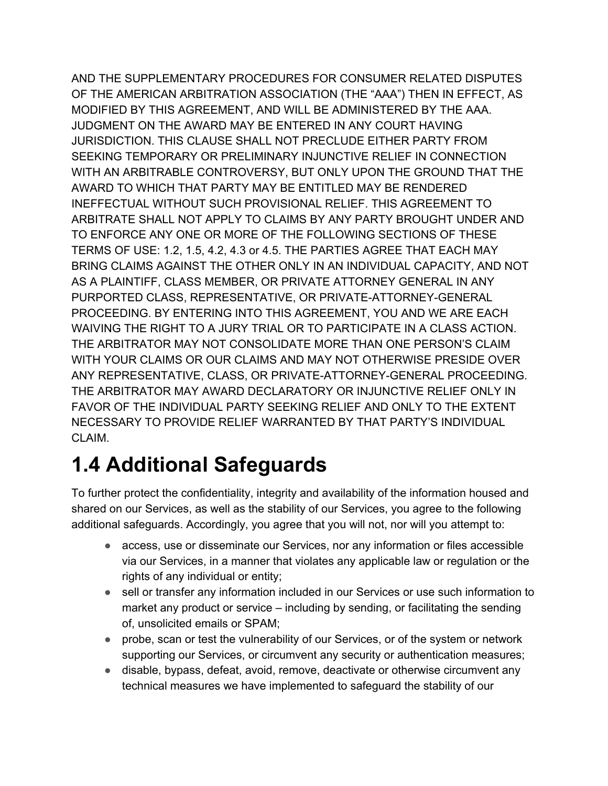AND THE SUPPLEMENTARY PROCEDURES FOR CONSUMER RELATED DISPUTES OF THE AMERICAN ARBITRATION ASSOCIATION (THE "AAA") THEN IN EFFECT, AS MODIFIED BY THIS AGREEMENT, AND WILL BE ADMINISTERED BY THE AAA. JUDGMENT ON THE AWARD MAY BE ENTERED IN ANY COURT HAVING JURISDICTION. THIS CLAUSE SHALL NOT PRECLUDE EITHER PARTY FROM SEEKING TEMPORARY OR PRELIMINARY INJUNCTIVE RELIEF IN CONNECTION WITH AN ARBITRABLE CONTROVERSY, BUT ONLY UPON THE GROUND THAT THE AWARD TO WHICH THAT PARTY MAY BE ENTITLED MAY BE RENDERED INEFFECTUAL WITHOUT SUCH PROVISIONAL RELIEF. THIS AGREEMENT TO ARBITRATE SHALL NOT APPLY TO CLAIMS BY ANY PARTY BROUGHT UNDER AND TO ENFORCE ANY ONE OR MORE OF THE FOLLOWING SECTIONS OF THESE TERMS OF USE: 1.2, 1.5, 4.2, 4.3 or 4.5. THE PARTIES AGREE THAT EACH MAY BRING CLAIMS AGAINST THE OTHER ONLY IN AN INDIVIDUAL CAPACITY, AND NOT AS A PLAINTIFF, CLASS MEMBER, OR PRIVATE ATTORNEY GENERAL IN ANY PURPORTED CLASS, REPRESENTATIVE, OR PRIVATE-ATTORNEY-GENERAL PROCEEDING. BY ENTERING INTO THIS AGREEMENT, YOU AND WE ARE EACH WAIVING THE RIGHT TO A JURY TRIAL OR TO PARTICIPATE IN A CLASS ACTION. THE ARBITRATOR MAY NOT CONSOLIDATE MORE THAN ONE PERSON'S CLAIM WITH YOUR CLAIMS OR OUR CLAIMS AND MAY NOT OTHERWISE PRESIDE OVER ANY REPRESENTATIVE, CLASS, OR PRIVATE-ATTORNEY-GENERAL PROCEEDING. THE ARBITRATOR MAY AWARD DECLARATORY OR INJUNCTIVE RELIEF ONLY IN FAVOR OF THE INDIVIDUAL PARTY SEEKING RELIEF AND ONLY TO THE EXTENT NECESSARY TO PROVIDE RELIEF WARRANTED BY THAT PARTY'S INDIVIDUAL CLAIM.

#### **1.4 Additional Safeguards**

To further protect the confidentiality, integrity and availability of the information housed and shared on our Services, as well as the stability of our Services, you agree to the following additional safeguards. Accordingly, you agree that you will not, nor will you attempt to:

- access, use or disseminate our Services, nor any information or files accessible via our Services, in a manner that violates any applicable law or regulation or the rights of any individual or entity;
- sell or transfer any information included in our Services or use such information to market any product or service – including by sending, or facilitating the sending of, unsolicited emails or SPAM;
- probe, scan or test the vulnerability of our Services, or of the system or network supporting our Services, or circumvent any security or authentication measures;
- disable, bypass, defeat, avoid, remove, deactivate or otherwise circumvent any technical measures we have implemented to safeguard the stability of our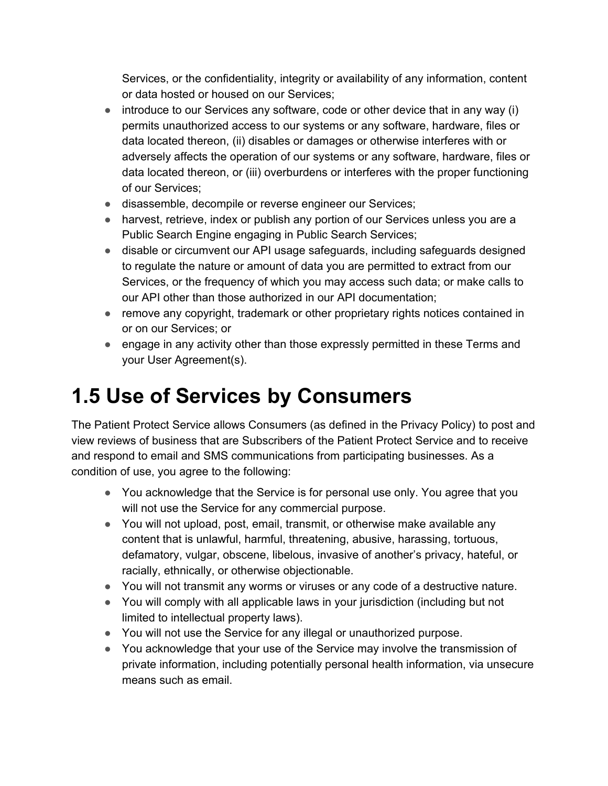Services, or the confidentiality, integrity or availability of any information, content or data hosted or housed on our Services;

- introduce to our Services any software, code or other device that in any way (i) permits unauthorized access to our systems or any software, hardware, files or data located thereon, (ii) disables or damages or otherwise interferes with or adversely affects the operation of our systems or any software, hardware, files or data located thereon, or (iii) overburdens or interferes with the proper functioning of our Services;
- disassemble, decompile or reverse engineer our Services;
- harvest, retrieve, index or publish any portion of our Services unless you are a Public Search Engine engaging in Public Search Services;
- disable or circumvent our API usage safeguards, including safeguards designed to regulate the nature or amount of data you are permitted to extract from our Services, or the frequency of which you may access such data; or make calls to our API other than those authorized in our API documentation;
- remove any copyright, trademark or other proprietary rights notices contained in or on our Services; or
- engage in any activity other than those expressly permitted in these Terms and your User Agreement(s).

#### **1.5 Use of Services by Consumers**

The Patient Protect Service allows Consumers (as defined in the Privacy Policy) to post and view reviews of business that are Subscribers of the Patient Protect Service and to receive and respond to email and SMS communications from participating businesses. As a condition of use, you agree to the following:

- You acknowledge that the Service is for personal use only. You agree that you will not use the Service for any commercial purpose.
- You will not upload, post, email, transmit, or otherwise make available any content that is unlawful, harmful, threatening, abusive, harassing, tortuous, defamatory, vulgar, obscene, libelous, invasive of another's privacy, hateful, or racially, ethnically, or otherwise objectionable.
- You will not transmit any worms or viruses or any code of a destructive nature.
- You will comply with all applicable laws in your jurisdiction (including but not limited to intellectual property laws).
- You will not use the Service for any illegal or unauthorized purpose.
- You acknowledge that your use of the Service may involve the transmission of private information, including potentially personal health information, via unsecure means such as email.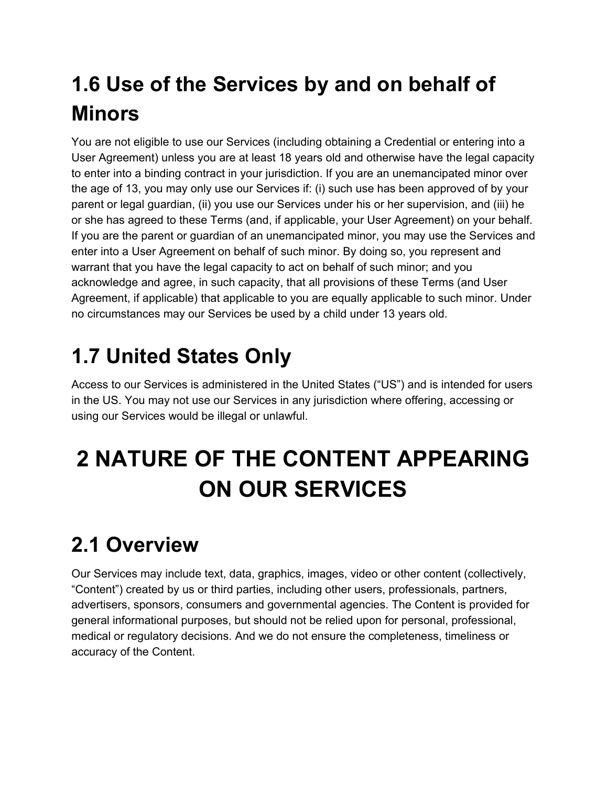### **1.6 Use of the Services by and on behalf of Minors**

You are not eligible to use our Services (including obtaining a Credential or entering into a User Agreement) unless you are at least 18 years old and otherwise have the legal capacity to enter into a binding contract in your jurisdiction. If you are an unemancipated minor over the age of 13, you may only use our Services if: (i) such use has been approved of by your parent or legal guardian, (ii) you use our Services under his or her supervision, and (iii) he or she has agreed to these Terms (and, if applicable, your User Agreement) on your behalf. If you are the parent or guardian of an unemancipated minor, you may use the Services and enter into a User Agreement on behalf of such minor. By doing so, you represent and warrant that you have the legal capacity to act on behalf of such minor; and you acknowledge and agree, in such capacity, that all provisions of these Terms (and User Agreement, if applicable) that applicable to you are equally applicable to such minor. Under no circumstances may our Services be used by a child under 13 years old.

### **1.7 United States Only**

Access to our Services is administered in the United States ("US") and is intended for users in the US. You may not use our Services in any jurisdiction where offering, accessing or using our Services would be illegal or unlawful.

## **2 NATURE OF THE CONTENT APPEARING ON OUR SERVICES**

#### **2.1 Overview**

Our Services may include text, data, graphics, images, video or other content (collectively, "Content") created by us or third parties, including other users, professionals, partners, advertisers, sponsors, consumers and governmental agencies. The Content is provided for general informational purposes, but should not be relied upon for personal, professional, medical or regulatory decisions. And we do not ensure the completeness, timeliness or accuracy of the Content.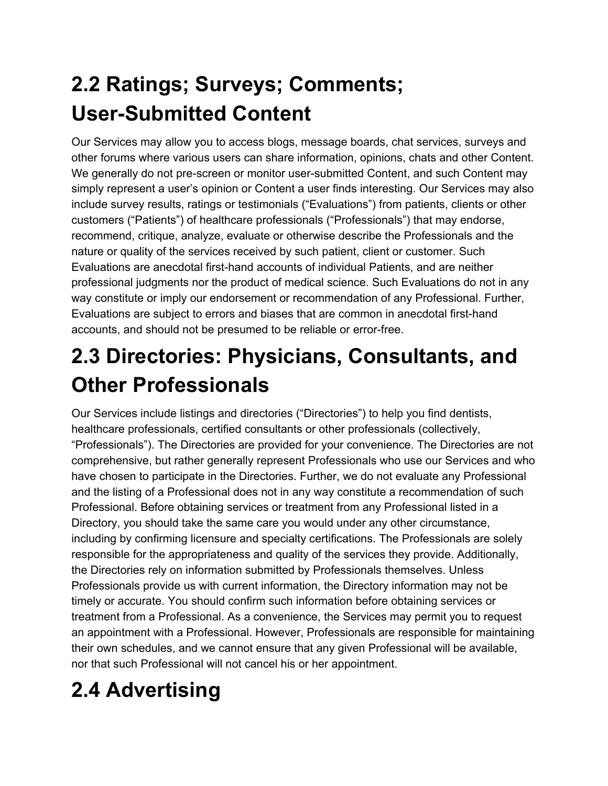### **2.2 Ratings; Surveys; Comments; User-Submitted Content**

Our Services may allow you to access blogs, message boards, chat services, surveys and other forums where various users can share information, opinions, chats and other Content. We generally do not pre-screen or monitor user-submitted Content, and such Content may simply represent a user's opinion or Content a user finds interesting. Our Services may also include survey results, ratings or testimonials ("Evaluations") from patients, clients or other customers ("Patients") of healthcare professionals ("Professionals") that may endorse, recommend, critique, analyze, evaluate or otherwise describe the Professionals and the nature or quality of the services received by such patient, client or customer. Such Evaluations are anecdotal first-hand accounts of individual Patients, and are neither professional judgments nor the product of medical science. Such Evaluations do not in any way constitute or imply our endorsement or recommendation of any Professional. Further, Evaluations are subject to errors and biases that are common in anecdotal first-hand accounts, and should not be presumed to be reliable or error-free.

### **2.3 Directories: Physicians, Consultants, and Other Professionals**

Our Services include listings and directories ("Directories") to help you find dentists, healthcare professionals, certified consultants or other professionals (collectively, "Professionals"). The Directories are provided for your convenience. The Directories are not comprehensive, but rather generally represent Professionals who use our Services and who have chosen to participate in the Directories. Further, we do not evaluate any Professional and the listing of a Professional does not in any way constitute a recommendation of such Professional. Before obtaining services or treatment from any Professional listed in a Directory, you should take the same care you would under any other circumstance, including by confirming licensure and specialty certifications. The Professionals are solely responsible for the appropriateness and quality of the services they provide. Additionally, the Directories rely on information submitted by Professionals themselves. Unless Professionals provide us with current information, the Directory information may not be timely or accurate. You should confirm such information before obtaining services or treatment from a Professional. As a convenience, the Services may permit you to request an appointment with a Professional. However, Professionals are responsible for maintaining their own schedules, and we cannot ensure that any given Professional will be available, nor that such Professional will not cancel his or her appointment.

## **2.4 Advertising**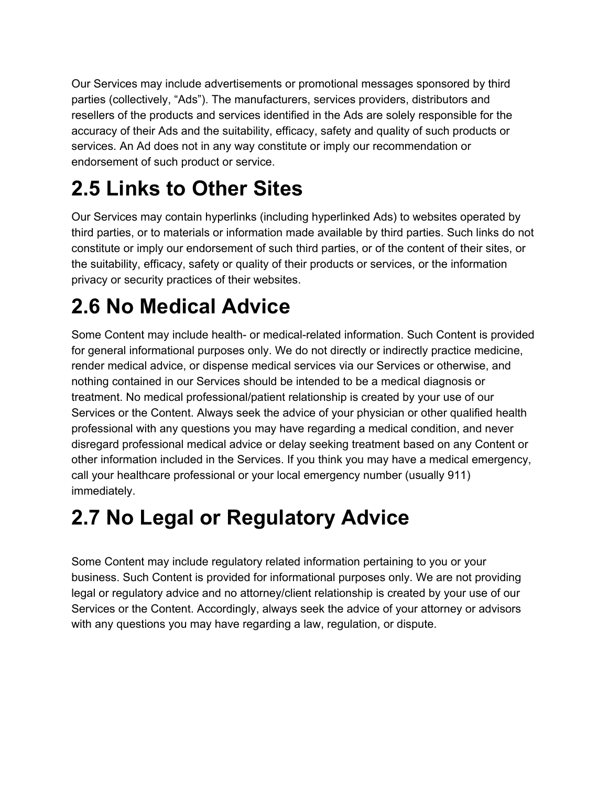Our Services may include advertisements or promotional messages sponsored by third parties (collectively, "Ads"). The manufacturers, services providers, distributors and resellers of the products and services identified in the Ads are solely responsible for the accuracy of their Ads and the suitability, efficacy, safety and quality of such products or services. An Ad does not in any way constitute or imply our recommendation or endorsement of such product or service.

#### **2.5 Links to Other Sites**

Our Services may contain hyperlinks (including hyperlinked Ads) to websites operated by third parties, or to materials or information made available by third parties. Such links do not constitute or imply our endorsement of such third parties, or of the content of their sites, or the suitability, efficacy, safety or quality of their products or services, or the information privacy or security practices of their websites.

#### **2.6 No Medical Advice**

Some Content may include health- or medical-related information. Such Content is provided for general informational purposes only. We do not directly or indirectly practice medicine, render medical advice, or dispense medical services via our Services or otherwise, and nothing contained in our Services should be intended to be a medical diagnosis or treatment. No medical professional/patient relationship is created by your use of our Services or the Content. Always seek the advice of your physician or other qualified health professional with any questions you may have regarding a medical condition, and never disregard professional medical advice or delay seeking treatment based on any Content or other information included in the Services. If you think you may have a medical emergency, call your healthcare professional or your local emergency number (usually 911) immediately.

#### **2.7 No Legal or Regulatory Advice**

Some Content may include regulatory related information pertaining to you or your business. Such Content is provided for informational purposes only. We are not providing legal or regulatory advice and no attorney/client relationship is created by your use of our Services or the Content. Accordingly, always seek the advice of your attorney or advisors with any questions you may have regarding a law, regulation, or dispute.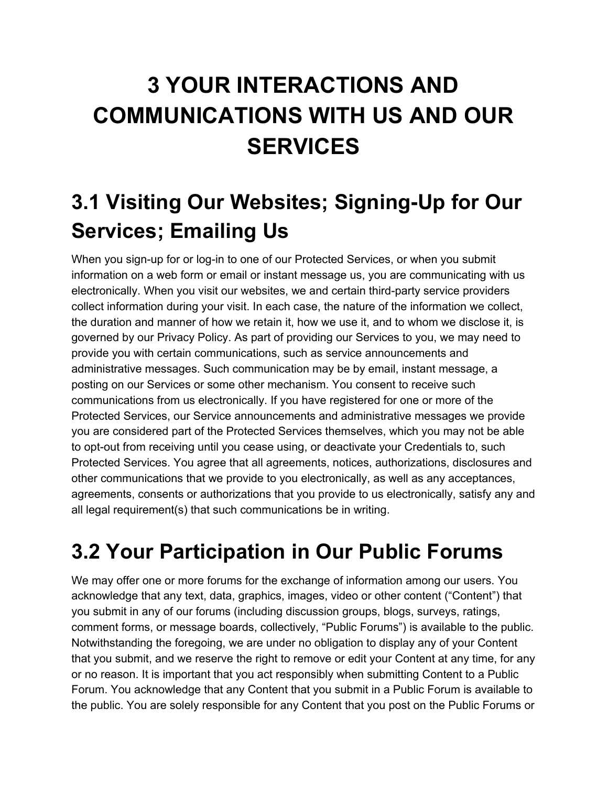## **3 YOUR INTERACTIONS AND COMMUNICATIONS WITH US AND OUR SERVICES**

### **3.1 Visiting Our Websites; Signing-Up for Our Services; Emailing Us**

When you sign-up for or log-in to one of our Protected Services, or when you submit information on a web form or email or instant message us, you are communicating with us electronically. When you visit our websites, we and certain third-party service providers collect information during your visit. In each case, the nature of the information we collect, the duration and manner of how we retain it, how we use it, and to whom we disclose it, is governed by our Privacy Policy. As part of providing our Services to you, we may need to provide you with certain communications, such as service announcements and administrative messages. Such communication may be by email, instant message, a posting on our Services or some other mechanism. You consent to receive such communications from us electronically. If you have registered for one or more of the Protected Services, our Service announcements and administrative messages we provide you are considered part of the Protected Services themselves, which you may not be able to opt-out from receiving until you cease using, or deactivate your Credentials to, such Protected Services. You agree that all agreements, notices, authorizations, disclosures and other communications that we provide to you electronically, as well as any acceptances, agreements, consents or authorizations that you provide to us electronically, satisfy any and all legal requirement(s) that such communications be in writing.

#### **3.2 Your Participation in Our Public Forums**

We may offer one or more forums for the exchange of information among our users. You acknowledge that any text, data, graphics, images, video or other content ("Content") that you submit in any of our forums (including discussion groups, blogs, surveys, ratings, comment forms, or message boards, collectively, "Public Forums") is available to the public. Notwithstanding the foregoing, we are under no obligation to display any of your Content that you submit, and we reserve the right to remove or edit your Content at any time, for any or no reason. It is important that you act responsibly when submitting Content to a Public Forum. You acknowledge that any Content that you submit in a Public Forum is available to the public. You are solely responsible for any Content that you post on the Public Forums or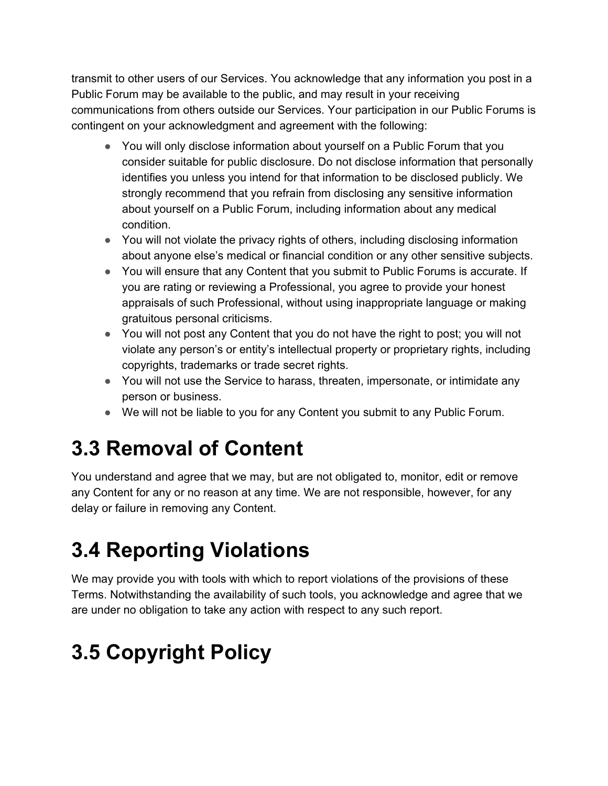transmit to other users of our Services. You acknowledge that any information you post in a Public Forum may be available to the public, and may result in your receiving communications from others outside our Services. Your participation in our Public Forums is contingent on your acknowledgment and agreement with the following:

- You will only disclose information about yourself on a Public Forum that you consider suitable for public disclosure. Do not disclose information that personally identifies you unless you intend for that information to be disclosed publicly. We strongly recommend that you refrain from disclosing any sensitive information about yourself on a Public Forum, including information about any medical condition.
- You will not violate the privacy rights of others, including disclosing information about anyone else's medical or financial condition or any other sensitive subjects.
- You will ensure that any Content that you submit to Public Forums is accurate. If you are rating or reviewing a Professional, you agree to provide your honest appraisals of such Professional, without using inappropriate language or making gratuitous personal criticisms.
- You will not post any Content that you do not have the right to post; you will not violate any person's or entity's intellectual property or proprietary rights, including copyrights, trademarks or trade secret rights.
- You will not use the Service to harass, threaten, impersonate, or intimidate any person or business.
- We will not be liable to you for any Content you submit to any Public Forum.

#### **3.3 Removal of Content**

You understand and agree that we may, but are not obligated to, monitor, edit or remove any Content for any or no reason at any time. We are not responsible, however, for any delay or failure in removing any Content.

#### **3.4 Reporting Violations**

We may provide you with tools with which to report violations of the provisions of these Terms. Notwithstanding the availability of such tools, you acknowledge and agree that we are under no obligation to take any action with respect to any such report.

### **3.5 Copyright Policy**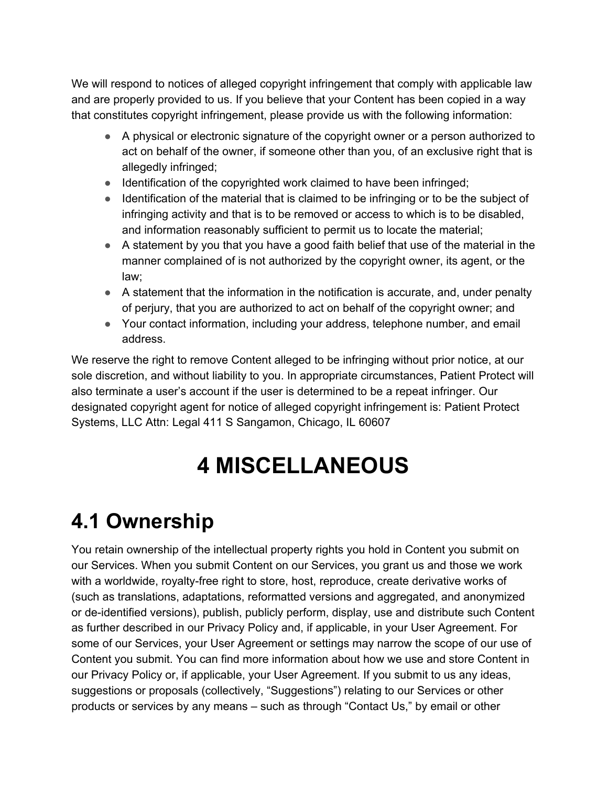We will respond to notices of alleged copyright infringement that comply with applicable law and are properly provided to us. If you believe that your Content has been copied in a way that constitutes copyright infringement, please provide us with the following information:

- A physical or electronic signature of the copyright owner or a person authorized to act on behalf of the owner, if someone other than you, of an exclusive right that is allegedly infringed;
- Identification of the copyrighted work claimed to have been infringed;
- Identification of the material that is claimed to be infringing or to be the subject of infringing activity and that is to be removed or access to which is to be disabled, and information reasonably sufficient to permit us to locate the material;
- A statement by you that you have a good faith belief that use of the material in the manner complained of is not authorized by the copyright owner, its agent, or the law;
- A statement that the information in the notification is accurate, and, under penalty of perjury, that you are authorized to act on behalf of the copyright owner; and
- Your contact information, including your address, telephone number, and email address.

We reserve the right to remove Content alleged to be infringing without prior notice, at our sole discretion, and without liability to you. In appropriate circumstances, Patient Protect will also terminate a user's account if the user is determined to be a repeat infringer. Our designated copyright agent for notice of alleged copyright infringement is: Patient Protect Systems, LLC Attn: Legal 411 S Sangamon, Chicago, IL 60607

## **4 MISCELLANEOUS**

### **4.1 Ownership**

You retain ownership of the intellectual property rights you hold in Content you submit on our Services. When you submit Content on our Services, you grant us and those we work with a worldwide, royalty-free right to store, host, reproduce, create derivative works of (such as translations, adaptations, reformatted versions and aggregated, and anonymized or de-identified versions), publish, publicly perform, display, use and distribute such Content as further described in our Privacy Policy and, if applicable, in your User Agreement. For some of our Services, your User Agreement or settings may narrow the scope of our use of Content you submit. You can find more information about how we use and store Content in our Privacy Policy or, if applicable, your User Agreement. If you submit to us any ideas, suggestions or proposals (collectively, "Suggestions") relating to our Services or other products or services by any means – such as through "Contact Us," by email or other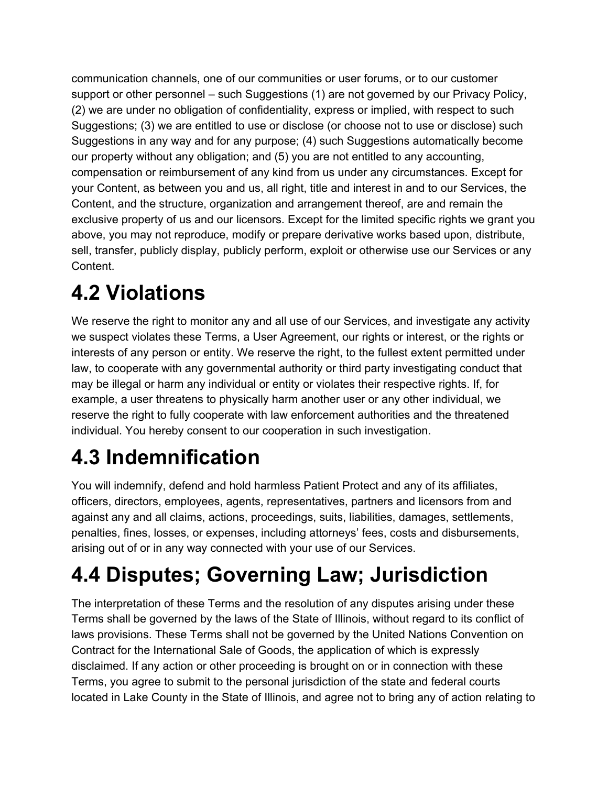communication channels, one of our communities or user forums, or to our customer support or other personnel – such Suggestions (1) are not governed by our Privacy Policy, (2) we are under no obligation of confidentiality, express or implied, with respect to such Suggestions; (3) we are entitled to use or disclose (or choose not to use or disclose) such Suggestions in any way and for any purpose; (4) such Suggestions automatically become our property without any obligation; and (5) you are not entitled to any accounting, compensation or reimbursement of any kind from us under any circumstances. Except for your Content, as between you and us, all right, title and interest in and to our Services, the Content, and the structure, organization and arrangement thereof, are and remain the exclusive property of us and our licensors. Except for the limited specific rights we grant you above, you may not reproduce, modify or prepare derivative works based upon, distribute, sell, transfer, publicly display, publicly perform, exploit or otherwise use our Services or any Content.

### **4.2 Violations**

We reserve the right to monitor any and all use of our Services, and investigate any activity we suspect violates these Terms, a User Agreement, our rights or interest, or the rights or interests of any person or entity. We reserve the right, to the fullest extent permitted under law, to cooperate with any governmental authority or third party investigating conduct that may be illegal or harm any individual or entity or violates their respective rights. If, for example, a user threatens to physically harm another user or any other individual, we reserve the right to fully cooperate with law enforcement authorities and the threatened individual. You hereby consent to our cooperation in such investigation.

### **4.3 Indemnification**

You will indemnify, defend and hold harmless Patient Protect and any of its affiliates, officers, directors, employees, agents, representatives, partners and licensors from and against any and all claims, actions, proceedings, suits, liabilities, damages, settlements, penalties, fines, losses, or expenses, including attorneys' fees, costs and disbursements, arising out of or in any way connected with your use of our Services.

## **4.4 Disputes; Governing Law; Jurisdiction**

The interpretation of these Terms and the resolution of any disputes arising under these Terms shall be governed by the laws of the State of Illinois, without regard to its conflict of laws provisions. These Terms shall not be governed by the United Nations Convention on Contract for the International Sale of Goods, the application of which is expressly disclaimed. If any action or other proceeding is brought on or in connection with these Terms, you agree to submit to the personal jurisdiction of the state and federal courts located in Lake County in the State of Illinois, and agree not to bring any of action relating to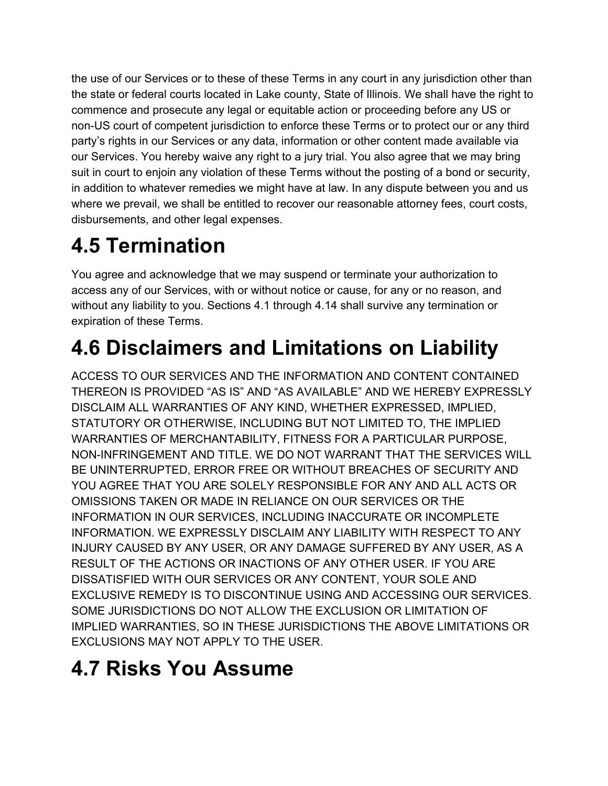the use of our Services or to these of these Terms in any court in any jurisdiction other than the state or federal courts located in Lake county, State of Illinois. We shall have the right to commence and prosecute any legal or equitable action or proceeding before any US or non-US court of competent jurisdiction to enforce these Terms or to protect our or any third party's rights in our Services or any data, information or other content made available via our Services. You hereby waive any right to a jury trial. You also agree that we may bring suit in court to enjoin any violation of these Terms without the posting of a bond or security, in addition to whatever remedies we might have at law. In any dispute between you and us where we prevail, we shall be entitled to recover our reasonable attorney fees, court costs, disbursements, and other legal expenses.

### **4.5 Termination**

You agree and acknowledge that we may suspend or terminate your authorization to access any of our Services, with or without notice or cause, for any or no reason, and without any liability to you. Sections 4.1 through 4.14 shall survive any termination or expiration of these Terms.

### **4.6 Disclaimers and Limitations on Liability**

ACCESS TO OUR SERVICES AND THE INFORMATION AND CONTENT CONTAINED THEREON IS PROVIDED "AS IS" AND "AS AVAILABLE" AND WE HEREBY EXPRESSLY DISCLAIM ALL WARRANTIES OF ANY KIND, WHETHER EXPRESSED, IMPLIED, STATUTORY OR OTHERWISE, INCLUDING BUT NOT LIMITED TO, THE IMPLIED WARRANTIES OF MERCHANTABILITY, FITNESS FOR A PARTICULAR PURPOSE, NON-INFRINGEMENT AND TITLE. WE DO NOT WARRANT THAT THE SERVICES WILL BE UNINTERRUPTED, ERROR FREE OR WITHOUT BREACHES OF SECURITY AND YOU AGREE THAT YOU ARE SOLELY RESPONSIBLE FOR ANY AND ALL ACTS OR OMISSIONS TAKEN OR MADE IN RELIANCE ON OUR SERVICES OR THE INFORMATION IN OUR SERVICES, INCLUDING INACCURATE OR INCOMPLETE INFORMATION. WE EXPRESSLY DISCLAIM ANY LIABILITY WITH RESPECT TO ANY INJURY CAUSED BY ANY USER, OR ANY DAMAGE SUFFERED BY ANY USER, AS A RESULT OF THE ACTIONS OR INACTIONS OF ANY OTHER USER. IF YOU ARE DISSATISFIED WITH OUR SERVICES OR ANY CONTENT, YOUR SOLE AND EXCLUSIVE REMEDY IS TO DISCONTINUE USING AND ACCESSING OUR SERVICES. SOME JURISDICTIONS DO NOT ALLOW THE EXCLUSION OR LIMITATION OF IMPLIED WARRANTIES, SO IN THESE JURISDICTIONS THE ABOVE LIMITATIONS OR EXCLUSIONS MAY NOT APPLY TO THE USER.

#### **4.7 Risks You Assume**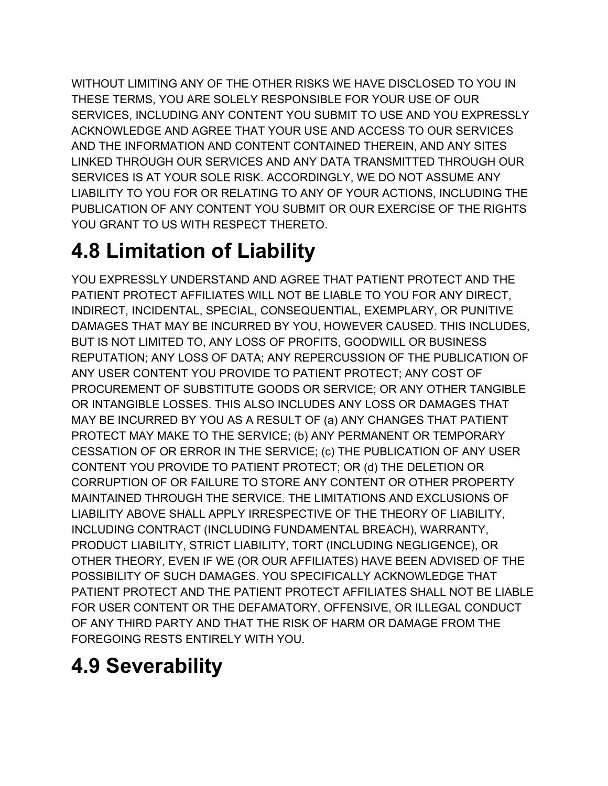WITHOUT LIMITING ANY OF THE OTHER RISKS WE HAVE DISCLOSED TO YOU IN THESE TERMS, YOU ARE SOLELY RESPONSIBLE FOR YOUR USE OF OUR SERVICES, INCLUDING ANY CONTENT YOU SUBMIT TO USE AND YOU EXPRESSLY ACKNOWLEDGE AND AGREE THAT YOUR USE AND ACCESS TO OUR SERVICES AND THE INFORMATION AND CONTENT CONTAINED THEREIN, AND ANY SITES LINKED THROUGH OUR SERVICES AND ANY DATA TRANSMITTED THROUGH OUR SERVICES IS AT YOUR SOLE RISK. ACCORDINGLY, WE DO NOT ASSUME ANY LIABILITY TO YOU FOR OR RELATING TO ANY OF YOUR ACTIONS, INCLUDING THE PUBLICATION OF ANY CONTENT YOU SUBMIT OR OUR EXERCISE OF THE RIGHTS YOU GRANT TO US WITH RESPECT THERETO.

### **4.8 Limitation of Liability**

YOU EXPRESSLY UNDERSTAND AND AGREE THAT PATIENT PROTECT AND THE PATIENT PROTECT AFFILIATES WILL NOT BE LIABLE TO YOU FOR ANY DIRECT, INDIRECT, INCIDENTAL, SPECIAL, CONSEQUENTIAL, EXEMPLARY, OR PUNITIVE DAMAGES THAT MAY BE INCURRED BY YOU, HOWEVER CAUSED. THIS INCLUDES, BUT IS NOT LIMITED TO, ANY LOSS OF PROFITS, GOODWILL OR BUSINESS REPUTATION; ANY LOSS OF DATA; ANY REPERCUSSION OF THE PUBLICATION OF ANY USER CONTENT YOU PROVIDE TO PATIENT PROTECT; ANY COST OF PROCUREMENT OF SUBSTITUTE GOODS OR SERVICE; OR ANY OTHER TANGIBLE OR INTANGIBLE LOSSES. THIS ALSO INCLUDES ANY LOSS OR DAMAGES THAT MAY BE INCURRED BY YOU AS A RESULT OF (a) ANY CHANGES THAT PATIENT PROTECT MAY MAKE TO THE SERVICE; (b) ANY PERMANENT OR TEMPORARY CESSATION OF OR ERROR IN THE SERVICE; (c) THE PUBLICATION OF ANY USER CONTENT YOU PROVIDE TO PATIENT PROTECT; OR (d) THE DELETION OR CORRUPTION OF OR FAILURE TO STORE ANY CONTENT OR OTHER PROPERTY MAINTAINED THROUGH THE SERVICE. THE LIMITATIONS AND EXCLUSIONS OF LIABILITY ABOVE SHALL APPLY IRRESPECTIVE OF THE THEORY OF LIABILITY, INCLUDING CONTRACT (INCLUDING FUNDAMENTAL BREACH), WARRANTY, PRODUCT LIABILITY, STRICT LIABILITY, TORT (INCLUDING NEGLIGENCE), OR OTHER THEORY, EVEN IF WE (OR OUR AFFILIATES) HAVE BEEN ADVISED OF THE POSSIBILITY OF SUCH DAMAGES. YOU SPECIFICALLY ACKNOWLEDGE THAT PATIENT PROTECT AND THE PATIENT PROTECT AFFILIATES SHALL NOT BE LIABLE FOR USER CONTENT OR THE DEFAMATORY, OFFENSIVE, OR ILLEGAL CONDUCT OF ANY THIRD PARTY AND THAT THE RISK OF HARM OR DAMAGE FROM THE FOREGOING RESTS ENTIRELY WITH YOU.

### **4.9 Severability**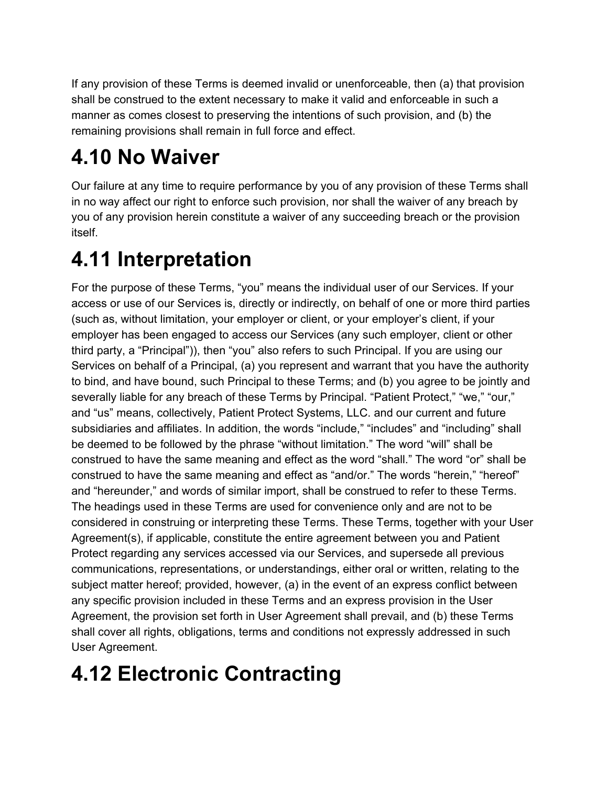If any provision of these Terms is deemed invalid or unenforceable, then (a) that provision shall be construed to the extent necessary to make it valid and enforceable in such a manner as comes closest to preserving the intentions of such provision, and (b) the remaining provisions shall remain in full force and effect.

### **4.10 No Waiver**

Our failure at any time to require performance by you of any provision of these Terms shall in no way affect our right to enforce such provision, nor shall the waiver of any breach by you of any provision herein constitute a waiver of any succeeding breach or the provision itself.

#### **4.11 Interpretation**

For the purpose of these Terms, "you" means the individual user of our Services. If your access or use of our Services is, directly or indirectly, on behalf of one or more third parties (such as, without limitation, your employer or client, or your employer's client, if your employer has been engaged to access our Services (any such employer, client or other third party, a "Principal")), then "you" also refers to such Principal. If you are using our Services on behalf of a Principal, (a) you represent and warrant that you have the authority to bind, and have bound, such Principal to these Terms; and (b) you agree to be jointly and severally liable for any breach of these Terms by Principal. "Patient Protect," "we," "our," and "us" means, collectively, Patient Protect Systems, LLC. and our current and future subsidiaries and affiliates. In addition, the words "include," "includes" and "including" shall be deemed to be followed by the phrase "without limitation." The word "will" shall be construed to have the same meaning and effect as the word "shall." The word "or" shall be construed to have the same meaning and effect as "and/or." The words "herein," "hereof" and "hereunder," and words of similar import, shall be construed to refer to these Terms. The headings used in these Terms are used for convenience only and are not to be considered in construing or interpreting these Terms. These Terms, together with your User Agreement(s), if applicable, constitute the entire agreement between you and Patient Protect regarding any services accessed via our Services, and supersede all previous communications, representations, or understandings, either oral or written, relating to the subject matter hereof; provided, however, (a) in the event of an express conflict between any specific provision included in these Terms and an express provision in the User Agreement, the provision set forth in User Agreement shall prevail, and (b) these Terms shall cover all rights, obligations, terms and conditions not expressly addressed in such User Agreement.

### **4.12 Electronic Contracting**